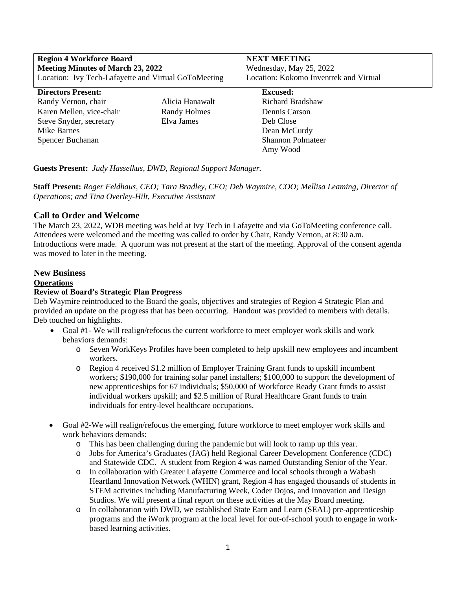| <b>Region 4 Workforce Board</b>                      |                     | <b>NEXT MEETING</b>                    |
|------------------------------------------------------|---------------------|----------------------------------------|
| <b>Meeting Minutes of March 23, 2022</b>             |                     | Wednesday, May 25, 2022                |
| Location: Ivy Tech-Lafayette and Virtual GoToMeeting |                     | Location: Kokomo Inventrek and Virtual |
| <b>Directors Present:</b>                            |                     | <b>Excused:</b>                        |
| Randy Vernon, chair                                  | Alicia Hanawalt     | Richard Bradshaw                       |
| Karen Mellen, vice-chair                             | <b>Randy Holmes</b> | Dennis Carson                          |
| Steve Snyder, secretary                              | Elva James          | Deb Close                              |
| Mike Barnes                                          |                     | Dean McCurdy                           |
| Spencer Buchanan                                     |                     | <b>Shannon Polmateer</b>               |
|                                                      |                     | Amy Wood                               |
|                                                      |                     |                                        |

# **Guests Present:** *Judy Hasselkus, DWD, Regional Support Manager.*

**Staff Present:** *Roger Feldhaus, CEO; Tara Bradley, CFO; Deb Waymire, COO; Mellisa Leaming, Director of Operations; and Tina Overley-Hilt, Executive Assistant*

# **Call to Order and Welcome**

The March 23, 2022, WDB meeting was held at Ivy Tech in Lafayette and via GoToMeeting conference call. Attendees were welcomed and the meeting was called to order by Chair, Randy Vernon, at 8:30 a.m. Introductions were made. A quorum was not present at the start of the meeting. Approval of the consent agenda was moved to later in the meeting.

# **New Business**

# **Operations**

#### **Review of Board's Strategic Plan Progress**

Deb Waymire reintroduced to the Board the goals, objectives and strategies of Region 4 Strategic Plan and provided an update on the progress that has been occurring. Handout was provided to members with details. Deb touched on highlights.

- Goal #1- We will realign/refocus the current workforce to meet employer work skills and work behaviors demands:
	- o Seven WorkKeys Profiles have been completed to help upskill new employees and incumbent workers.
	- o Region 4 received \$1.2 million of Employer Training Grant funds to upskill incumbent workers; \$190,000 for training solar panel installers; \$100,000 to support the development of new apprenticeships for 67 individuals; \$50,000 of Workforce Ready Grant funds to assist individual workers upskill; and \$2.5 million of Rural Healthcare Grant funds to train individuals for entry-level healthcare occupations.
- Goal #2-We will realign/refocus the emerging, future workforce to meet employer work skills and work behaviors demands:
	- o This has been challenging during the pandemic but will look to ramp up this year.
	- o Jobs for America's Graduates (JAG) held Regional Career Development Conference (CDC) and Statewide CDC. A student from Region 4 was named Outstanding Senior of the Year.
	- o In collaboration with Greater Lafayette Commerce and local schools through a Wabash Heartland Innovation Network (WHIN) grant, Region 4 has engaged thousands of students in STEM activities including Manufacturing Week, Coder Dojos, and Innovation and Design Studios. We will present a final report on these activities at the May Board meeting.
	- o In collaboration with DWD, we established State Earn and Learn (SEAL) pre-apprenticeship programs and the iWork program at the local level for out-of-school youth to engage in workbased learning activities.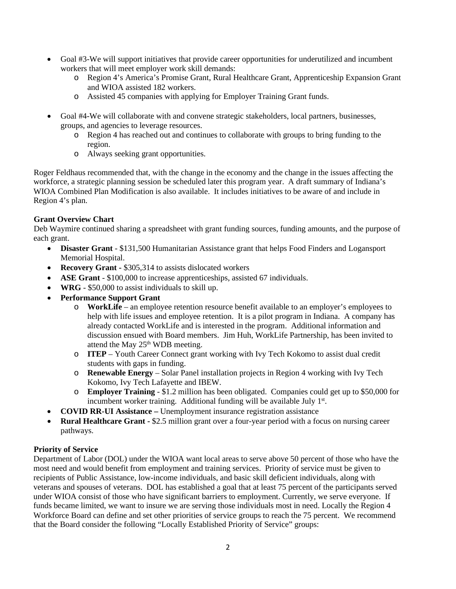- Goal #3-We will support initiatives that provide career opportunities for underutilized and incumbent workers that will meet employer work skill demands:
	- o Region 4's America's Promise Grant, Rural Healthcare Grant, Apprenticeship Expansion Grant and WIOA assisted 182 workers.
	- o Assisted 45 companies with applying for Employer Training Grant funds.
- Goal #4-We will collaborate with and convene strategic stakeholders, local partners, businesses, groups, and agencies to leverage resources.
	- o Region 4 has reached out and continues to collaborate with groups to bring funding to the region.
	- o Always seeking grant opportunities.

Roger Feldhaus recommended that, with the change in the economy and the change in the issues affecting the workforce, a strategic planning session be scheduled later this program year. A draft summary of Indiana's WIOA Combined Plan Modification is also available. It includes initiatives to be aware of and include in Region 4's plan.

# **Grant Overview Chart**

Deb Waymire continued sharing a spreadsheet with grant funding sources, funding amounts, and the purpose of each grant.

- **Disaster Grant** \$131,500 Humanitarian Assistance grant that helps Food Finders and Logansport Memorial Hospital.
- **Recovery Grant \$305,314 to assists dislocated workers**
- **ASE Grant** \$100,000 to increase apprenticeships, assisted 67 individuals.
- **WRG** \$50,000 to assist individuals to skill up.
- **Performance Support Grant**
	- o **WorkLife** an employee retention resource benefit available to an employer's employees to help with life issues and employee retention. It is a pilot program in Indiana. A company has already contacted WorkLife and is interested in the program. Additional information and discussion ensued with Board members. Jim Huh, WorkLife Partnership, has been invited to attend the May  $25<sup>th</sup>$  WDB meeting.
	- o **ITEP** Youth Career Connect grant working with Ivy Tech Kokomo to assist dual credit students with gaps in funding.
	- o **Renewable Energy** Solar Panel installation projects in Region 4 working with Ivy Tech Kokomo, Ivy Tech Lafayette and IBEW.
	- o **Employer Training** \$1.2 million has been obligated. Companies could get up to \$50,000 for incumbent worker training. Additional funding will be available July 1<sup>st</sup>.
- **COVID RR-UI Assistance –** Unemployment insurance registration assistance
- **Rural Healthcare Grant -** \$2.5 million grant over a four-year period with a focus on nursing career pathways.

# **Priority of Service**

Department of Labor (DOL) under the WIOA want local areas to serve above 50 percent of those who have the most need and would benefit from employment and training services. Priority of service must be given to recipients of Public Assistance, low-income individuals, and basic skill deficient individuals, along with veterans and spouses of veterans. DOL has established a goal that at least 75 percent of the participants served under WIOA consist of those who have significant barriers to employment. Currently, we serve everyone. If funds became limited, we want to insure we are serving those individuals most in need. Locally the Region 4 Workforce Board can define and set other priorities of service groups to reach the 75 percent. We recommend that the Board consider the following "Locally Established Priority of Service" groups: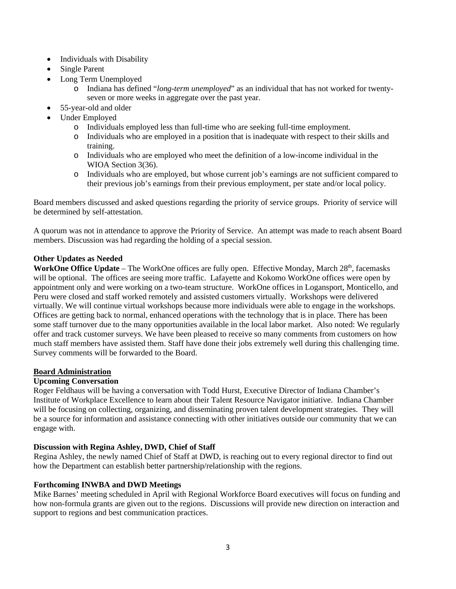- Individuals with Disability
- Single Parent
- Long Term Unemployed
	- o Indiana has defined "*long-term unemployed*" as an individual that has not worked for twentyseven or more weeks in aggregate over the past year.
- 55-year-old and older
- Under Employed
	- o Individuals employed less than full-time who are seeking full-time employment.
	- o Individuals who are employed in a position that is inadequate with respect to their skills and training.
	- o Individuals who are employed who meet the definition of a low-income individual in the WIOA Section 3(36).
	- o Individuals who are employed, but whose current job's earnings are not sufficient compared to their previous job's earnings from their previous employment, per state and/or local policy.

Board members discussed and asked questions regarding the priority of service groups. Priority of service will be determined by self-attestation.

A quorum was not in attendance to approve the Priority of Service. An attempt was made to reach absent Board members. Discussion was had regarding the holding of a special session.

# **Other Updates as Needed**

**WorkOne Office Update** – The WorkOne offices are fully open. Effective Monday, March 28<sup>th</sup>, facemasks will be optional. The offices are seeing more traffic. Lafayette and Kokomo WorkOne offices were open by appointment only and were working on a two-team structure. WorkOne offices in Logansport, Monticello, and Peru were closed and staff worked remotely and assisted customers virtually. Workshops were delivered virtually. We will continue virtual workshops because more individuals were able to engage in the workshops. Offices are getting back to normal, enhanced operations with the technology that is in place. There has been some staff turnover due to the many opportunities available in the local labor market. Also noted: We regularly offer and track customer surveys. We have been pleased to receive so many comments from customers on how much staff members have assisted them. Staff have done their jobs extremely well during this challenging time. Survey comments will be forwarded to the Board.

# **Board Administration**

# **Upcoming Conversation**

Roger Feldhaus will be having a conversation with Todd Hurst, Executive Director of Indiana Chamber's Institute of Workplace Excellence to learn about their Talent Resource Navigator initiative. Indiana Chamber will be focusing on collecting, organizing, and disseminating proven talent development strategies. They will be a source for information and assistance connecting with other initiatives outside our community that we can engage with.

# **Discussion with Regina Ashley, DWD, Chief of Staff**

Regina Ashley, the newly named Chief of Staff at DWD, is reaching out to every regional director to find out how the Department can establish better partnership/relationship with the regions.

# **Forthcoming INWBA and DWD Meetings**

Mike Barnes' meeting scheduled in April with Regional Workforce Board executives will focus on funding and how non-formula grants are given out to the regions. Discussions will provide new direction on interaction and support to regions and best communication practices.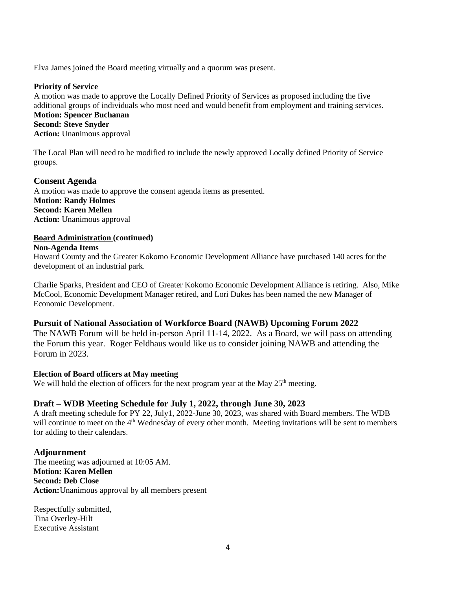Elva James joined the Board meeting virtually and a quorum was present.

#### **Priority of Service**

A motion was made to approve the Locally Defined Priority of Services as proposed including the five additional groups of individuals who most need and would benefit from employment and training services. **Motion: Spencer Buchanan Second: Steve Snyder Action:** Unanimous approval

The Local Plan will need to be modified to include the newly approved Locally defined Priority of Service groups.

# **Consent Agenda**

A motion was made to approve the consent agenda items as presented. **Motion: Randy Holmes Second: Karen Mellen Action:** Unanimous approval

#### **Board Administration (continued)**

#### **Non-Agenda Items**

Howard County and the Greater Kokomo Economic Development Alliance have purchased 140 acres for the development of an industrial park.

Charlie Sparks, President and CEO of Greater Kokomo Economic Development Alliance is retiring. Also, Mike McCool, Economic Development Manager retired, and Lori Dukes has been named the new Manager of Economic Development.

# **Pursuit of National Association of Workforce Board (NAWB) Upcoming Forum 2022**

The NAWB Forum will be held in-person April 11-14, 2022. As a Board, we will pass on attending the Forum this year. Roger Feldhaus would like us to consider joining NAWB and attending the Forum in 2023.

# **Election of Board officers at May meeting**

We will hold the election of officers for the next program year at the May  $25<sup>th</sup>$  meeting.

# **Draft – WDB Meeting Schedule for July 1, 2022, through June 30, 2023**

A draft meeting schedule for PY 22, July1, 2022-June 30, 2023, was shared with Board members. The WDB will continue to meet on the  $4<sup>th</sup>$  Wednesday of every other month. Meeting invitations will be sent to members for adding to their calendars.

# **Adjournment**

The meeting was adjourned at 10:05 AM. **Motion: Karen Mellen Second: Deb Close Action:**Unanimous approval by all members present

Respectfully submitted, Tina Overley-Hilt Executive Assistant